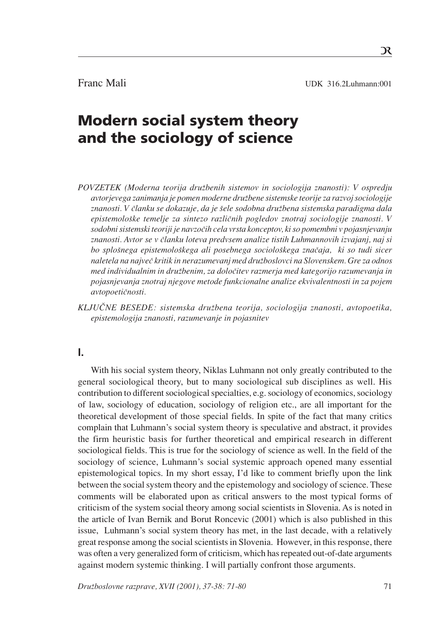Franc Mali UDK 316.2Luhmann:001

# Modern social system theory and the sociology of science

- *POVZETEK (Moderna teorija druæbenih sistemov in sociologija znanosti): V ospredju avtorjevega zanimanja je pomen moderne druæbene sistemske teorije za razvoj sociologije* znanosti. V članku se dokazuje, da je šele sodobna družbena sistemska paradigma dala *epistemoloπke temelje za sintezo razliËnih pogledov znotraj sociologije znanosti. V sodobni sistemski teoriji je navzoËih cela vrsta konceptov, ki so pomembni v pojasnjevanju znanosti. Avtor se v Ëlanku loteva predvsem analize tistih Luhmannovih izvajanj, naj si bo sploπnega epistemoloπkega ali posebnega socioloπkega znaËaja, ki so tudi sicer naletela na najveË kritik in nerazumevanj med druæboslovci na Slovenskem. Gre za odnos med individualnim in druæbenim, za doloËitev razmerja med kategorijo razumevanja in pojasnjevanja znotraj njegove metode funkcionalne analize ekvivalentnosti in za pojem avtopoetiËnosti.*
- *KLJU»NE BESEDE: sistemska druæbena teorija, sociologija znanosti, avtopoetika, epistemologija znanosti, razumevanje in pojasnitev*

# **I.**

With his social system theory, Niklas Luhmann not only greatly contributed to the general sociological theory, but to many sociological sub disciplines as well. His contribution to different sociological specialties, e.g. sociology of economics, sociology of law, sociology of education, sociology of religion etc., are all important for the theoretical development of those special fields. In spite of the fact that many critics complain that Luhmann's social system theory is speculative and abstract, it provides the firm heuristic basis for further theoretical and empirical research in different sociological fields. This is true for the sociology of science as well. In the field of the sociology of science, Luhmann's social systemic approach opened many essential epistemological topics. In my short essay, I'd like to comment briefly upon the link between the social system theory and the epistemology and sociology of science. These comments will be elaborated upon as critical answers to the most typical forms of criticism of the system social theory among social scientists in Slovenia. As is noted in the article of Ivan Bernik and Borut Roncevic (2001) which is also published in this issue, Luhmann's social system theory has met, in the last decade, with a relatively great response among the social scientists in Slovenia. However, in this response, there was often a very generalized form of criticism, which has repeated out-of-date arguments against modern systemic thinking. I will partially confront those arguments.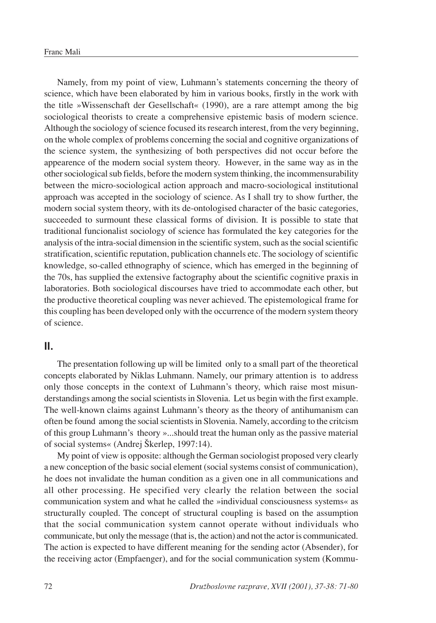Namely, from my point of view, Luhmann's statements concerning the theory of science, which have been elaborated by him in various books, firstly in the work with the title »Wissenschaft der Gesellschaft« (1990), are a rare attempt among the big sociological theorists to create a comprehensive epistemic basis of modern science. Although the sociology of science focused its research interest, from the very beginning, on the whole complex of problems concerning the social and cognitive organizations of the science system, the synthesizing of both perspectives did not occur before the appearence of the modern social system theory. However, in the same way as in the other sociological sub fields, before the modern system thinking, the incommensurability between the micro-sociological action approach and macro-sociological institutional approach was accepted in the sociology of science. As I shall try to show further, the modern social system theory, with its de-ontologised character of the basic categories, succeeded to surmount these classical forms of division. It is possible to state that traditional funcionalist sociology of science has formulated the key categories for the analysis of the intra-social dimension in the scientific system, such as the social scientific stratification, scientific reputation, publication channels etc. The sociology of scientific knowledge, so-called ethnography of science, which has emerged in the beginning of the 70s, has supplied the extensive factography about the scientific cognitive praxis in laboratories. Both sociological discourses have tried to accommodate each other, but the productive theoretical coupling was never achieved. The epistemological frame for this coupling has been developed only with the occurrence of the modern system theory of science.

### **II.**

The presentation following up will be limited only to a small part of the theoretical concepts elaborated by Niklas Luhmann. Namely, our primary attention is to address only those concepts in the context of Luhmann's theory, which raise most misunderstandings among the social scientists in Slovenia. Let us begin with the first example. The well-known claims against Luhmann's theory as the theory of antihumanism can often be found among the social scientists in Slovenia. Namely, according to the critcism of this group Luhmann's theory »...should treat the human only as the passive material of social systems« (Andrej ©kerlep, 1997:14).

My point of view is opposite: although the German sociologist proposed very clearly a new conception of the basic social element (social systems consist of communication), he does not invalidate the human condition as a given one in all communications and all other processing. He specified very clearly the relation between the social communication system and what he called the »individual consciousness systems« as structurally coupled. The concept of structural coupling is based on the assumption that the social communication system cannot operate without individuals who communicate, but only the message (that is, the action) and not the actor is communicated. The action is expected to have different meaning for the sending actor (Absender), for the receiving actor (Empfaenger), and for the social communication system (Kommu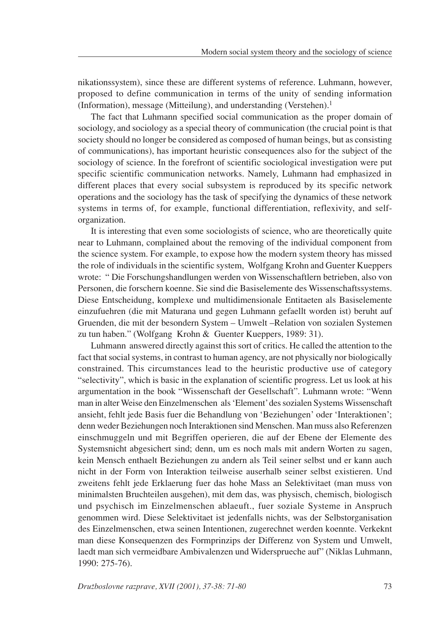nikationssystem), since these are different systems of reference. Luhmann, however, proposed to define communication in terms of the unity of sending information (Information), message (Mitteilung), and understanding (Verstehen).<sup>1</sup>

The fact that Luhmann specified social communication as the proper domain of sociology, and sociology as a special theory of communication (the crucial point is that society should no longer be considered as composed of human beings, but as consisting of communications), has important heuristic consequences also for the subject of the sociology of science. In the forefront of scientific sociological investigation were put specific scientific communication networks. Namely, Luhmann had emphasized in different places that every social subsystem is reproduced by its specific network operations and the sociology has the task of specifying the dynamics of these network systems in terms of, for example, functional differentiation, reflexivity, and selforganization.

It is interesting that even some sociologists of science, who are theoretically quite near to Luhmann, complained about the removing of the individual component from the science system. For example, to expose how the modern system theory has missed the role of individuals in the scientific system, Wolfgang Krohn and Guenter Kueppers wrote: " Die Forschungshandlungen werden von Wissenschaftlern betrieben, also von Personen, die forschern koenne. Sie sind die Basiselemente des Wissenschaftssystems. Diese Entscheidung, komplexe und multidimensionale Entitaeten als Basiselemente einzufuehren (die mit Maturana und gegen Luhmann gefaellt worden ist) beruht auf Gruenden, die mit der besondern System – Umwelt -Relation von sozialen Systemen zu tun haben." (Wolfgang Krohn & Guenter Kueppers, 1989: 31).

Luhmann answered directly against this sort of critics. He called the attention to the fact that social systems, in contrast to human agency, are not physically nor biologically constrained. This circumstances lead to the heuristic productive use of category "selectivity", which is basic in the explanation of scientific progress. Let us look at his argumentation in the book "Wissenschaft der Gesellschaft". Luhmann wrote: "Wenn man in alter Weise den Einzelmenschen als 'Element' des sozialen Systems Wissenschaft ansieht, fehlt jede Basis fuer die Behandlung von 'Beziehungen' oder 'Interaktionen'; denn weder Beziehungen noch Interaktionen sind Menschen. Man muss also Referenzen einschmuggeln und mit Begriffen operieren, die auf der Ebene der Elemente des Systemsnicht abgesichert sind; denn, um es noch mals mit andern Worten zu sagen, kein Mensch enthaelt Beziehungen zu andern als Teil seiner selbst und er kann auch nicht in der Form von Interaktion teilweise auserhalb seiner selbst existieren. Und zweitens fehlt jede Erklaerung fuer das hohe Mass an Selektivitaet (man muss von minimalsten Bruchteilen ausgehen), mit dem das, was physisch, chemisch, biologisch und psychisch im Einzelmenschen ablaeuft., fuer soziale Systeme in Anspruch genommen wird. Diese Selektivitaet ist jedenfalls nichts, was der Selbstorganisation des Einzelmenschen, etwa seinen Intentionen, zugerechnet werden koennte. Verkeknt man diese Konsequenzen des Formprinzips der Differenz von System und Umwelt, laedt man sich vermeidbare Ambivalenzen und Widersprueche auf" (Niklas Luhmann, 1990: 275-76).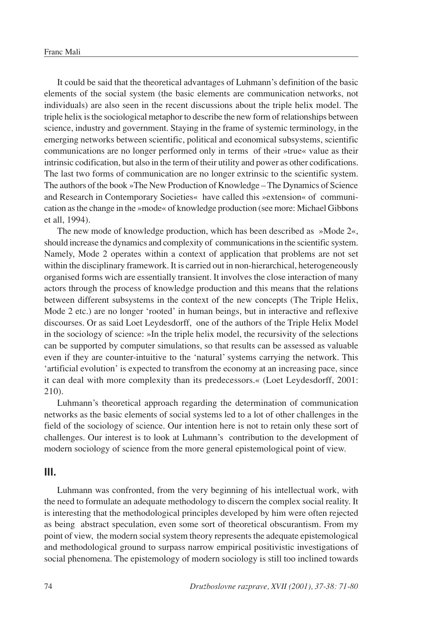It could be said that the theoretical advantages of Luhmann's definition of the basic elements of the social system (the basic elements are communication networks, not individuals) are also seen in the recent discussions about the triple helix model. The triple helix is the sociological metaphor to describe the new form of relationships between science, industry and government. Staying in the frame of systemic terminology, in the emerging networks between scientific, political and economical subsystems, scientific communications are no longer performed only in terms of their »true« value as their intrinsic codification, but also in the term of their utility and power as other codifications. The last two forms of communication are no longer extrinsic to the scientific system. The authors of the book »The New Production of Knowledge – The Dynamics of Science and Research in Contemporary Societies« have called this »extension« of communication as the change in the »mode« of knowledge production (see more: Michael Gibbons et all, 1994).

The new mode of knowledge production, which has been described as  $\gg$ Mode 2«, should increase the dynamics and complexity of communications in the scientific system. Namely, Mode 2 operates within a context of application that problems are not set within the disciplinary framework. It is carried out in non-hierarchical, heterogeneously organised forms wich are essentially transient. It involves the close interaction of many actors through the process of knowledge production and this means that the relations between different subsystems in the context of the new concepts (The Triple Helix, Mode 2 etc.) are no longer 'rooted' in human beings, but in interactive and reflexive discourses. Or as said Loet Leydesdorff, one of the authors of the Triple Helix Model in the sociology of science:  $\phi$ In the triple helix model, the recursivity of the selections can be supported by computer simulations, so that results can be assessed as valuable even if they are counter-intuitive to the 'natural' systems carrying the network. This 'artificial evolution' is expected to transfrom the economy at an increasing pace, since it can deal with more complexity than its predecessors.« (Loet Leydesdorff, 2001: 210).

Luhmann's theoretical approach regarding the determination of communication networks as the basic elements of social systems led to a lot of other challenges in the field of the sociology of science. Our intention here is not to retain only these sort of challenges. Our interest is to look at Luhmann's contribution to the development of modern sociology of science from the more general epistemological point of view.

#### **III.**

Luhmann was confronted, from the very beginning of his intellectual work, with the need to formulate an adequate methodology to discern the complex social reality. It is interesting that the methodological principles developed by him were often rejected as being abstract speculation, even some sort of theoretical obscurantism. From my point of view, the modern social system theory represents the adequate epistemological and methodological ground to surpass narrow empirical positivistic investigations of social phenomena. The epistemology of modern sociology is still too inclined towards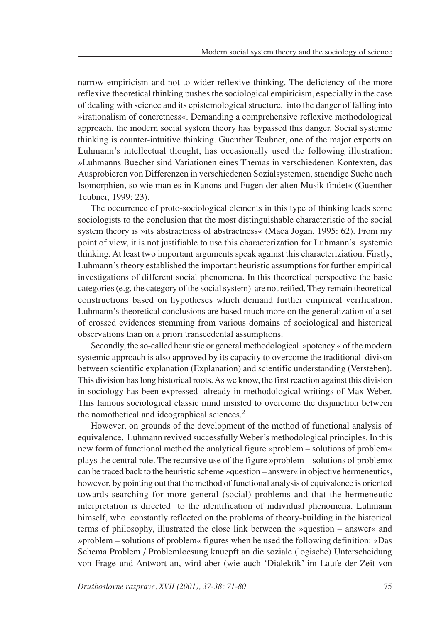narrow empiricism and not to wider reflexive thinking. The deficiency of the more reflexive theoretical thinking pushes the sociological empiricism, especially in the case of dealing with science and its epistemological structure, into the danger of falling into »irationalism of concretness«. Demanding a comprehensive reflexive methodological approach, the modern social system theory has bypassed this danger. Social systemic thinking is counter-intuitive thinking. Guenther Teubner, one of the major experts on Luhmann's intellectual thought, has occasionally used the following illustration: »Luhmanns Buecher sind Variationen eines Themas in verschiedenen Kontexten, das Ausprobieren von Differenzen in verschiedenen Sozialsystemen, staendige Suche nach Isomorphien, so wie man es in Kanons und Fugen der alten Musik findet« (Guenther Teubner, 1999: 23).

The occurrence of proto-sociological elements in this type of thinking leads some sociologists to the conclusion that the most distinguishable characteristic of the social system theory is »its abstractness of abstractness« (Maca Jogan, 1995: 62). From my point of view, it is not justifiable to use this characterization for Luhmann's systemic thinking. At least two important arguments speak against this characteriziation. Firstly, Luhmann's theory established the important heuristic assumptions for further empirical investigations of different social phenomena. In this theoretical perspective the basic categories (e.g. the category of the social system) are not reified. They remain theoretical constructions based on hypotheses which demand further empirical verification. Luhmann's theoretical conclusions are based much more on the generalization of a set of crossed evidences stemming from various domains of sociological and historical observations than on a priori transcedental assumptions.

Secondly, the so-called heuristic or general methodological »potency « of the modern systemic approach is also approved by its capacity to overcome the traditional divison between scientific explanation (Explanation) and scientific understanding (Verstehen). This division has long historical roots. As we know, the first reaction against this division in sociology has been expressed already in methodological writings of Max Weber. This famous sociological classic mind insisted to overcome the disjunction between the nomothetical and ideographical sciences.<sup>2</sup>

However, on grounds of the development of the method of functional analysis of equivalence, Luhmann revived successfully Weber's methodological principles. In this new form of functional method the analytical figure »problem – solutions of problem« plays the central role. The recursive use of the figure »problem – solutions of problem« can be traced back to the heuristic scheme »question – answer« in objective hermeneutics, however, by pointing out that the method of functional analysis of equivalence is oriented towards searching for more general (social) problems and that the hermeneutic interpretation is directed to the identification of individual phenomena. Luhmann himself, who constantly reflected on the problems of theory-building in the historical terms of philosophy, illustrated the close link between the »question – answer« and  $\text{p}$  sproblem  $\text{p}$  solutions of problem« figures when he used the following definition:  $\text{p}$  Das Schema Problem / Problemloesung knuepft an die soziale (logische) Unterscheidung von Frage und Antwort an, wird aber (wie auch 'Dialektik' im Laufe der Zeit von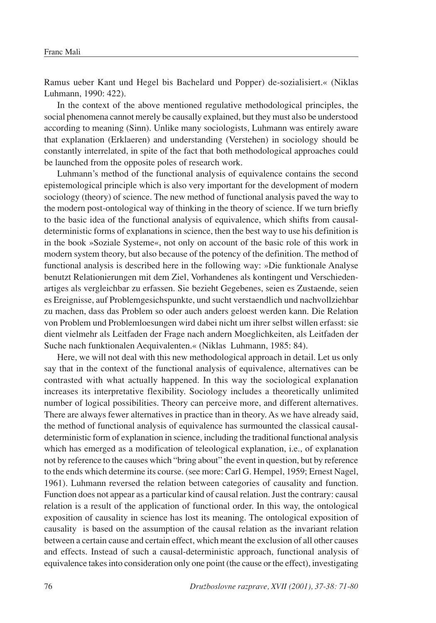Ramus ueber Kant und Hegel bis Bachelard und Popper) de-sozialisiert.« (Niklas Luhmann, 1990: 422).

In the context of the above mentioned regulative methodological principles, the social phenomena cannot merely be causally explained, but they must also be understood according to meaning (Sinn). Unlike many sociologists, Luhmann was entirely aware that explanation (Erklaeren) and understanding (Verstehen) in sociology should be constantly interrelated, in spite of the fact that both methodological approaches could be launched from the opposite poles of research work.

Luhmann's method of the functional analysis of equivalence contains the second epistemological principle which is also very important for the development of modern sociology (theory) of science. The new method of functional analysis paved the way to the modern post-ontological way of thinking in the theory of science. If we turn briefly to the basic idea of the functional analysis of equivalence, which shifts from causaldeterministic forms of explanations in science, then the best way to use his definition is in the book »Soziale Systeme«, not only on account of the basic role of this work in modern system theory, but also because of the potency of the definition. The method of functional analysis is described here in the following way: »Die funktionale Analyse benutzt Relationierungen mit dem Ziel, Vorhandenes als kontingent und Verschiedenartiges als vergleichbar zu erfassen. Sie bezieht Gegebenes, seien es Zustaende, seien es Ereignisse, auf Problemgesichspunkte, und sucht verstaendlich und nachvollziehbar zu machen, dass das Problem so oder auch anders geloest werden kann. Die Relation von Problem und Problemloesungen wird dabei nicht um ihrer selbst willen erfasst: sie dient vielmehr als Leitfaden der Frage nach andern Moeglichkeiten, als Leitfaden der Suche nach funktionalen Aequivalenten.« (Niklas Luhmann, 1985: 84).

Here, we will not deal with this new methodological approach in detail. Let us only say that in the context of the functional analysis of equivalence, alternatives can be contrasted with what actually happened. In this way the sociological explanation increases its interpretative flexibility. Sociology includes a theoretically unlimited number of logical possibilities. Theory can perceive more, and different alternatives. There are always fewer alternatives in practice than in theory. As we have already said, the method of functional analysis of equivalence has surmounted the classical causaldeterministic form of explanation in science, including the traditional functional analysis which has emerged as a modification of teleological explanation, i.e., of explanation not by reference to the causes which "bring about" the event in question, but by reference to the ends which determine its course. (see more: Carl G. Hempel, 1959; Ernest Nagel, 1961). Luhmann reversed the relation between categories of causality and function. Function does not appear as a particular kind of causal relation. Just the contrary: causal relation is a result of the application of functional order. In this way, the ontological exposition of causality in science has lost its meaning. The ontological exposition of causality is based on the assumption of the causal relation as the invariant relation between a certain cause and certain effect, which meant the exclusion of all other causes and effects. Instead of such a causal-deterministic approach, functional analysis of equivalence takes into consideration only one point (the cause or the effect), investigating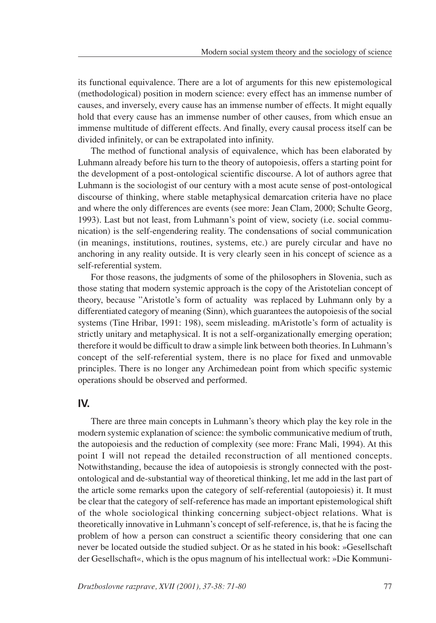its functional equivalence. There are a lot of arguments for this new epistemological (methodological) position in modern science: every effect has an immense number of causes, and inversely, every cause has an immense number of effects. It might equally hold that every cause has an immense number of other causes, from which ensue an immense multitude of different effects. And finally, every causal process itself can be divided infinitely, or can be extrapolated into infinity.

The method of functional analysis of equivalence, which has been elaborated by Luhmann already before his turn to the theory of autopoiesis, offers a starting point for the development of a post-ontological scientific discourse. A lot of authors agree that Luhmann is the sociologist of our century with a most acute sense of post-ontological discourse of thinking, where stable metaphysical demarcation criteria have no place and where the only differences are events (see more: Jean Clam, 2000; Schulte Georg, 1993). Last but not least, from Luhmann's point of view, society (i.e. social communication) is the self-engendering reality. The condensations of social communication (in meanings, institutions, routines, systems, etc.) are purely circular and have no anchoring in any reality outside. It is very clearly seen in his concept of science as a self-referential system.

For those reasons, the judgments of some of the philosophers in Slovenia, such as those stating that modern systemic approach is the copy of the Aristotelian concept of theory, because "Aristotle's form of actuality was replaced by Luhmann only by a differentiated category of meaning (Sinn), which guarantees the autopoiesis of the social systems (Tine Hribar, 1991: 198), seem misleading. mAristotle's form of actuality is strictly unitary and metaphysical. It is not a self-organizationally emerging operation; therefore it would be difficult to draw a simple link between both theories. In Luhmann's concept of the self-referential system, there is no place for fixed and unmovable principles. There is no longer any Archimedean point from which specific systemic operations should be observed and performed.

#### **IV.**

There are three main concepts in Luhmann's theory which play the key role in the modern systemic explanation of science: the symbolic communicative medium of truth, the autopoiesis and the reduction of complexity (see more: Franc Mali, 1994). At this point I will not repead the detailed reconstruction of all mentioned concepts. Notwithstanding, because the idea of autopoiesis is strongly connected with the postontological and de-substantial way of theoretical thinking, let me add in the last part of the article some remarks upon the category of self-referential (autopoiesis) it. It must be clear that the category of self-reference has made an important epistemological shift of the whole sociological thinking concerning subject-object relations. What is theoretically innovative in Luhmann's concept of self-reference, is, that he is facing the problem of how a person can construct a scientific theory considering that one can never be located outside the studied subject. Or as he stated in his book: »Gesellschaft der Gesellschaft«, which is the opus magnum of his intellectual work: »Die Kommuni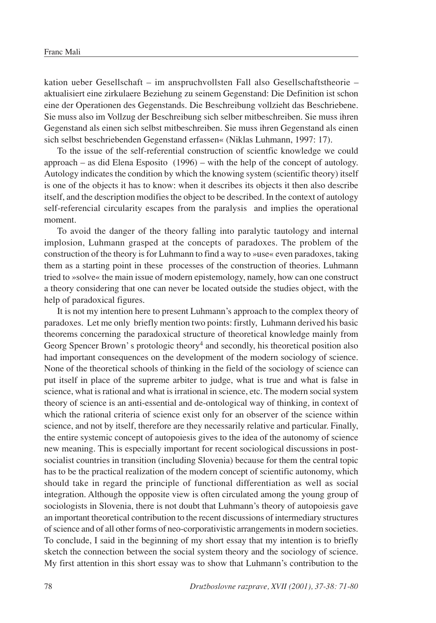kation ueber Gesellschaft  $-$  im anspruchvollsten Fall also Gesellschaftstheorie  $$ aktualisiert eine zirkulaere Beziehung zu seinem Gegenstand: Die Definition ist schon eine der Operationen des Gegenstands. Die Beschreibung vollzieht das Beschriebene. Sie muss also im Vollzug der Beschreibung sich selber mitbeschreiben. Sie muss ihren Gegenstand als einen sich selbst mitbeschreiben. Sie muss ihren Gegenstand als einen sich selbst beschriebenden Gegenstand erfassen« (Niklas Luhmann, 1997: 17).

To the issue of the self-referential construction of scientfic knowledge we could approach  $-$  as did Elena Esposito (1996)  $-$  with the help of the concept of autology. Autology indicates the condition by which the knowing system (scientific theory) itself is one of the objects it has to know: when it describes its objects it then also describe itself, and the description modifies the object to be described. In the context of autology self-referencial circularity escapes from the paralysis and implies the operational moment.

To avoid the danger of the theory falling into paralytic tautology and internal implosion, Luhmann grasped at the concepts of paradoxes. The problem of the construction of the theory is for Luhmann to find a way to  $\omega$ use« even paradoxes, taking them as a starting point in these processes of the construction of theories. Luhmann tried to »solve« the main issue of modern epistemology, namely, how can one construct a theory considering that one can never be located outside the studies object, with the help of paradoxical figures.

It is not my intention here to present Luhmann's approach to the complex theory of paradoxes. Let me only briefly mention two points: firstly, Luhmann derived his basic theorems concerning the paradoxical structure of theoretical knowledge mainly from Georg Spencer Brown's protologic theory<sup>4</sup> and secondly, his theoretical position also had important consequences on the development of the modern sociology of science. None of the theoretical schools of thinking in the field of the sociology of science can put itself in place of the supreme arbiter to judge, what is true and what is false in science, what is rational and what is irrational in science, etc. The modern social system theory of science is an anti-essential and de-ontological way of thinking, in context of which the rational criteria of science exist only for an observer of the science within science, and not by itself, therefore are they necessarily relative and particular. Finally, the entire systemic concept of autopoiesis gives to the idea of the autonomy of science new meaning. This is especially important for recent sociological discussions in postsocialist countries in transition (including Slovenia) because for them the central topic has to be the practical realization of the modern concept of scientific autonomy, which should take in regard the principle of functional differentiation as well as social integration. Although the opposite view is often circulated among the young group of sociologists in Slovenia, there is not doubt that Luhmann's theory of autopoiesis gave an important theoretical contribution to the recent discussions of intermediary structures of science and of all other forms of neo-corporativistic arrangements in modern societies. To conclude, I said in the beginning of my short essay that my intention is to briefly sketch the connection between the social system theory and the sociology of science. My first attention in this short essay was to show that Luhmann's contribution to the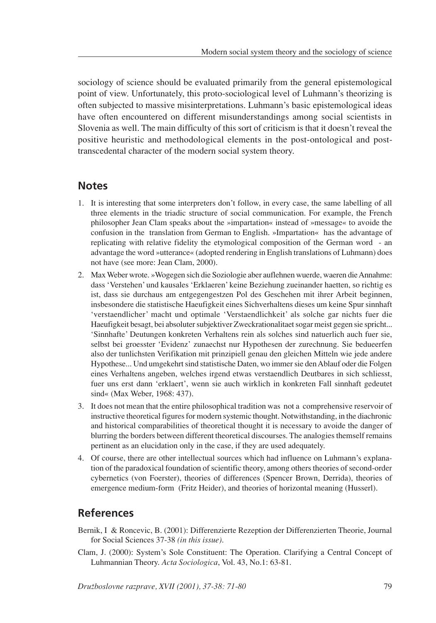sociology of science should be evaluated primarily from the general epistemological point of view. Unfortunately, this proto-sociological level of Luhmann's theorizing is often subjected to massive misinterpretations. Luhmann's basic epistemological ideas have often encountered on different misunderstandings among social scientists in Slovenia as well. The main difficulty of this sort of criticism is that it doesn't reveal the positive heuristic and methodological elements in the post-ontological and posttranscedental character of the modern social system theory.

## **Notes**

- 1. It is interesting that some interpreters don't follow, in every case, the same labelling of all three elements in the triadic structure of social communication. For example, the French philosopher Jean Clam speaks about the »impartation« instead of »message« to avoide the confusion in the translation from German to English. »Impartation« has the advantage of replicating with relative fidelity the etymological composition of the German word - an advantage the word »utterance« (adopted rendering in English translations of Luhmann) does not have (see more: Jean Clam, 2000).
- 2. Max Weber wrote. »Wogegen sich die Soziologie aber auflehnen wuerde, waeren die Annahme: dass 'Verstehen' und kausales 'Erklaeren' keine Beziehung zueinander haetten, so richtig es ist, dass sie durchaus am entgegengestzen Pol des Geschehen mit ihrer Arbeit beginnen, insbesondere die statistische Haeufigkeit eines Sichverhaltens dieses um keine Spur sinnhaft 'verstaendlicher' macht und optimale 'Verstaendlichkeit' als solche gar nichts fuer die Haeufigkeit besagt, bei absoluter subjektiver Zweckrationalitaet sogar meist gegen sie spricht... 'Sinnhafte' Deutungen konkreten Verhaltens rein als solches sind natuerlich auch fuer sie, selbst bei groesster 'Evidenz' zunaechst nur Hypothesen der zurechnung. Sie bedueerfen also der tunlichsten Verifikation mit prinzipiell genau den gleichen Mitteln wie jede andere Hypothese... Und umgekehrt sind statistische Daten, wo immer sie den Ablauf oder die Folgen eines Verhaltens angeben, welches irgend etwas verstaendlich Deutbares in sich schliesst, fuer uns erst dann 'erklaert', wenn sie auch wirklich in konkreten Fall sinnhaft gedeutet sind« (Max Weber, 1968: 437).
- 3. It does not mean that the entire philosophical tradition was not a comprehensive reservoir of instructive theoretical figures for modern systemic thought. Notwithstanding, in the diachronic and historical comparabilities of theoretical thought it is necessary to avoide the danger of blurring the borders between different theoretical discourses. The analogies themself remains pertinent as an elucidation only in the case, if they are used adequately.
- 4. Of course, there are other intellectual sources which had influence on Luhmann's explanation of the paradoxical foundation of scientific theory, among others theories of second-order cybernetics (von Foerster), theories of differences (Spencer Brown, Derrida), theories of emergence medium-form (Fritz Heider), and theories of horizontal meaning (Husserl).

# **References**

- Bernik, I & Roncevic, B. (2001): Differenzierte Rezeption der Differenzierten Theorie, Journal for Social Sciences 37-38 *(in this issue)*.
- Clam, J. (2000): System's Sole Constituent: The Operation. Clarifying a Central Concept of Luhmannian Theory. *Acta Sociologica*, Vol. 43, No.1: 63-81.